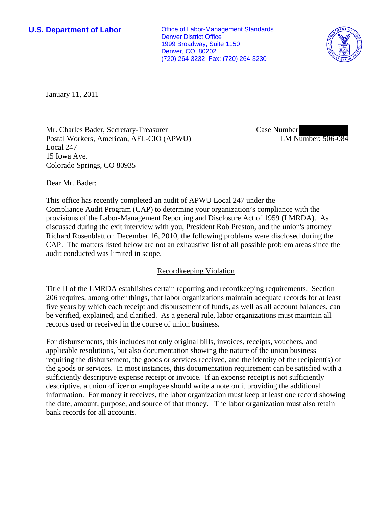**U.S. Department of Labor Conservative Conservative Conservative Conservative Conservative Conservative Conservative Conservative Conservative Conservative Conservative Conservative Conservative Conservative Conservative** Denver District Office 1999 Broadway, Suite 1150 Denver, CO 80202 (720) 264-3232 Fax: (720) 264-3230



January 11, 2011

Mr. Charles Bader, Secretary-Treasurer Postal Workers, American, AFL-CIO (APWU) Local 247 15 Iowa Ave. Colorado Springs, CO 80935

Case Number: LM Number: 506-084

Dear Mr. Bader:

This office has recently completed an audit of APWU Local 247 under the Compliance Audit Program (CAP) to determine your organization's compliance with the provisions of the Labor-Management Reporting and Disclosure Act of 1959 (LMRDA). As discussed during the exit interview with you, President Rob Preston, and the union's attorney Richard Rosenblatt on December 16, 2010, the following problems were disclosed during the CAP. The matters listed below are not an exhaustive list of all possible problem areas since the audit conducted was limited in scope.

# Recordkeeping Violation

Title II of the LMRDA establishes certain reporting and recordkeeping requirements. Section 206 requires, among other things, that labor organizations maintain adequate records for at least five years by which each receipt and disbursement of funds, as well as all account balances, can be verified, explained, and clarified. As a general rule, labor organizations must maintain all records used or received in the course of union business.

For disbursements, this includes not only original bills, invoices, receipts, vouchers, and applicable resolutions, but also documentation showing the nature of the union business requiring the disbursement, the goods or services received, and the identity of the recipient(s) of the goods or services. In most instances, this documentation requirement can be satisfied with a sufficiently descriptive expense receipt or invoice. If an expense receipt is not sufficiently descriptive, a union officer or employee should write a note on it providing the additional information. For money it receives, the labor organization must keep at least one record showing the date, amount, purpose, and source of that money. The labor organization must also retain bank records for all accounts.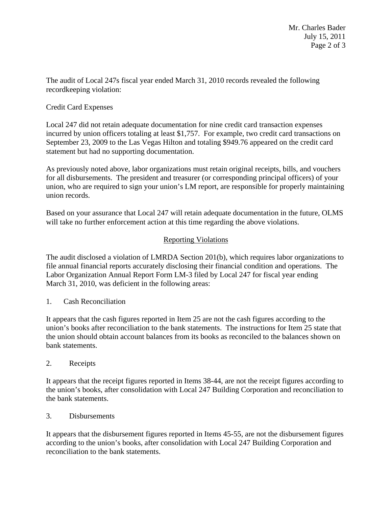The audit of Local 247s fiscal year ended March 31, 2010 records revealed the following recordkeeping violation:

# Credit Card Expenses

Local 247 did not retain adequate documentation for nine credit card transaction expenses incurred by union officers totaling at least \$1,757. For example, two credit card transactions on September 23, 2009 to the Las Vegas Hilton and totaling \$949.76 appeared on the credit card statement but had no supporting documentation.

As previously noted above, labor organizations must retain original receipts, bills, and vouchers for all disbursements. The president and treasurer (or corresponding principal officers) of your union, who are required to sign your union's LM report, are responsible for properly maintaining union records.

Based on your assurance that Local 247 will retain adequate documentation in the future, OLMS will take no further enforcement action at this time regarding the above violations.

# Reporting Violations

The audit disclosed a violation of LMRDA Section 201(b), which requires labor organizations to file annual financial reports accurately disclosing their financial condition and operations. The Labor Organization Annual Report Form LM-3 filed by Local 247 for fiscal year ending March 31, 2010, was deficient in the following areas:

### 1. Cash Reconciliation

It appears that the cash figures reported in Item 25 are not the cash figures according to the union's books after reconciliation to the bank statements. The instructions for Item 25 state that the union should obtain account balances from its books as reconciled to the balances shown on bank statements.

2. Receipts

It appears that the receipt figures reported in Items 38-44, are not the receipt figures according to the union's books, after consolidation with Local 247 Building Corporation and reconciliation to the bank statements.

### 3. Disbursements

It appears that the disbursement figures reported in Items 45-55, are not the disbursement figures according to the union's books, after consolidation with Local 247 Building Corporation and reconciliation to the bank statements.